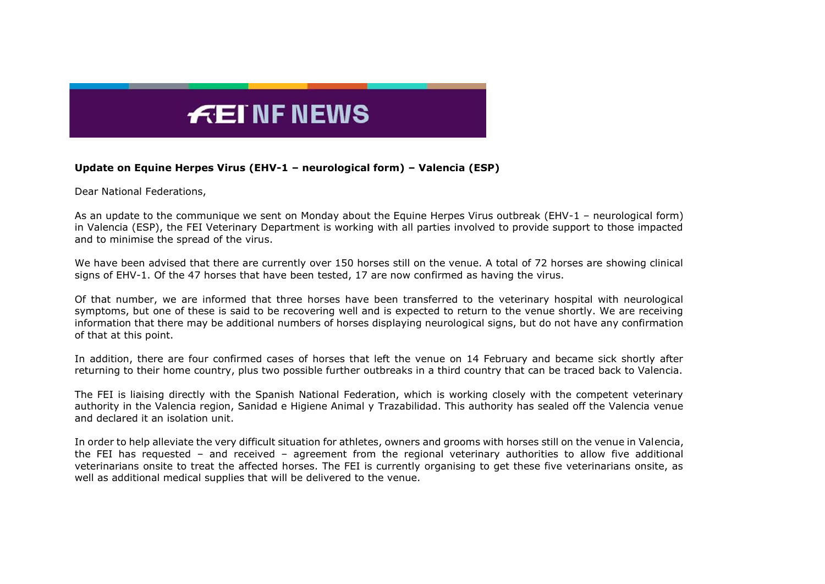## $E$ EINFNEWS

## **Update on Equine Herpes Virus (EHV-1 – neurological form) – Valencia (ESP)**

Dear National Federations,

As an update to the communique we sent on Monday about the Equine Herpes Virus outbreak (EHV-1 – neurological form) in Valencia (ESP), the FEI Veterinary Department is working with all parties involved to provide support to those impacted and to minimise the spread of the virus.

We have been advised that there are currently over 150 horses still on the venue. A total of 72 horses are showing clinical signs of EHV-1. Of the 47 horses that have been tested, 17 are now confirmed as having the virus.

Of that number, we are informed that three horses have been transferred to the veterinary hospital with neurological symptoms, but one of these is said to be recovering well and is expected to return to the venue shortly. We are receiving information that there may be additional numbers of horses displaying neurological signs, but do not have any confirmation of that at this point.

In addition, there are four confirmed cases of horses that left the venue on 14 February and became sick shortly after returning to their home country, plus two possible further outbreaks in a third country that can be traced back to Valencia.

The FEI is liaising directly with the Spanish National Federation, which is working closely with the competent veterinary authority in the Valencia region, Sanidad e Higiene Animal y Trazabilidad. This authority has sealed off the Valencia venue and declared it an isolation unit.

In order to help alleviate the very difficult situation for athletes, owners and grooms with horses still on the venue in Valencia, the FEI has requested – and received – agreement from the regional veterinary authorities to allow five additional veterinarians onsite to treat the affected horses. The FEI is currently organising to get these five veterinarians onsite, as well as additional medical supplies that will be delivered to the venue.